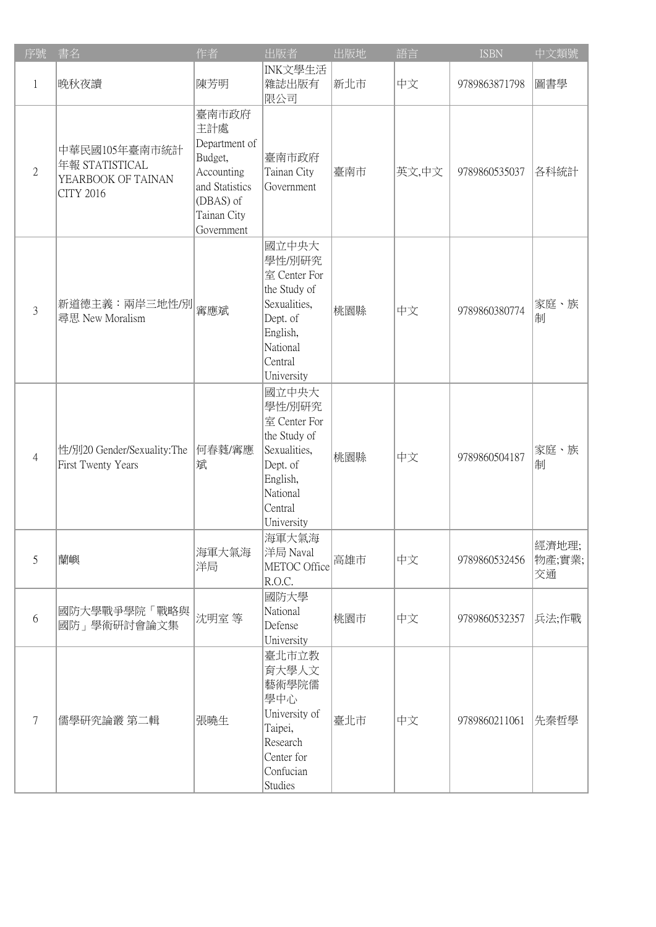| 序號             | 書名                                                                        | 作者                                                                                                                 | 出版者                                                                                                                          | 出版地 | 語言    | <b>ISBN</b>   | 中文類號                   |
|----------------|---------------------------------------------------------------------------|--------------------------------------------------------------------------------------------------------------------|------------------------------------------------------------------------------------------------------------------------------|-----|-------|---------------|------------------------|
| 1              | 晚秋夜讀                                                                      | 陳芳明                                                                                                                | INK文學生活<br>雜誌出版有<br>限公司                                                                                                      | 新北市 | 中文    | 9789863871798 | 圖書學                    |
| $\overline{2}$ | 中華民國105年臺南市統計<br>年報 STATISTICAL<br>YEARBOOK OF TAINAN<br><b>CITY 2016</b> | 臺南市政府<br>主計處<br>Department of<br>Budget,<br>Accounting<br>and Statistics<br>(DBAS) of<br>Tainan City<br>Government | 臺南市政府<br>Tainan City<br>Government                                                                                           | 臺南市 | 英文,中文 | 9789860535037 | 各科統計                   |
| $\overline{3}$ | 新道德主義:兩岸三地性/別<br>尋思 New Moralism                                          | 寗應斌                                                                                                                | 國立中央大<br>學性/別研究<br>室 Center For<br>the Study of<br>Sexualities,<br>Dept. of<br>English,<br>National<br>Central<br>University | 桃園縣 | 中文    | 9789860380774 | 家庭、族<br>制              |
| 4              | 性/別20 Gender/Sexuality:The<br>First Twenty Years                          | 何春蕤/寗應<br>斌                                                                                                        | 國立中央大<br>學性/別研究<br>室 Center For<br>the Study of<br>Sexualities,<br>Dept. of<br>English,<br>National<br>Central<br>University | 桃園縣 | 中文    | 9789860504187 | 家庭、族<br>制              |
| 5              | 蘭嶼                                                                        | 海軍大氣海<br>洋局                                                                                                        | 海軍大氣海<br>洋局 Naval<br>METOC Office<br>R.O.C.                                                                                  | 高雄市 | 中文    | 9789860532456 | 經濟地理; <br>物產;實業;<br>交通 |
| 6              | 國防大學戰爭學院「戰略與<br>國防」學術研討會論文集                                               | 沈明室等                                                                                                               | 國防大學<br>National<br>Defense<br>University                                                                                    | 桃園市 | 中文    | 9789860532357 | 兵法;作戰                  |
| 7              | 儒學研究論叢 第二輯                                                                | 張曉生                                                                                                                | 臺北市立教<br>育大學人文<br>藝術學院儒<br>學中心<br>University of<br>Taipei,<br>Research<br>Center for<br>Confucian<br><b>Studies</b>          | 臺北市 | 中文    | 9789860211061 | 先秦哲學                   |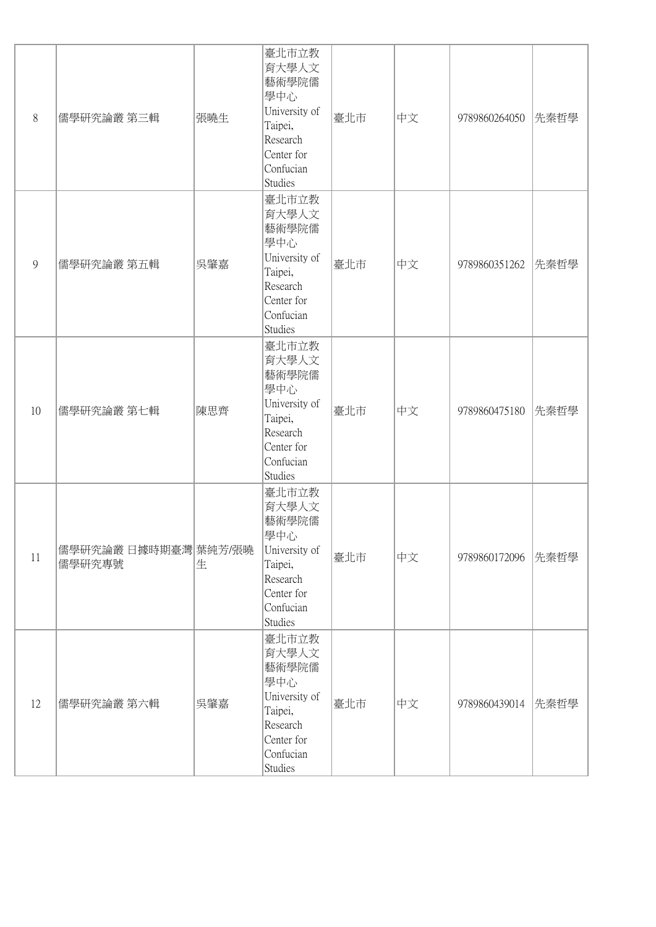| 8  | 儒學研究論叢 第三輯                     | 張曉生 | 臺北市立教<br>育大學人文<br>藝術學院儒<br>學中心<br>University of<br>Taipei,<br>Research<br>Center for<br>Confucian<br><b>Studies</b> | 臺北市 | 中文 | 9789860264050 | 先秦哲學 |
|----|--------------------------------|-----|---------------------------------------------------------------------------------------------------------------------|-----|----|---------------|------|
| 9  | 儒學研究論叢 第五輯                     | 吳肇嘉 | 臺北市立教<br>育大學人文<br>藝術學院儒<br>學中心<br>University of<br>Taipei,<br>Research<br>Center for<br>Confucian<br>Studies        | 臺北市 | 中文 | 9789860351262 | 先秦哲學 |
| 10 | 儒學研究論叢 第七輯                     | 陳思齊 | 臺北市立教<br>育大學人文<br>藝術學院儒<br>學中心<br>University of<br>Taipei,<br>Research<br>Center for<br>Confucian<br><b>Studies</b> | 臺北市 | 中文 | 9789860475180 | 先秦哲學 |
| 11 | 儒學研究論叢 日據時期臺灣 葉純芳/張曉<br>儒學研究專號 | 生   | 臺北市立教<br>育大學人文<br>藝術學院儒<br>學中心<br>University of<br>Taipei,<br>Research<br>Center for<br>Confucian<br>Studies        | 臺北市 | 中文 | 9789860172096 | 先秦哲學 |
| 12 | 儒學研究論叢 第六輯                     | 吳肇嘉 | 臺北市立教<br>育大學人文<br>藝術學院儒<br>學中心<br>University of<br>Taipei,<br>Research<br>Center for<br>Confucian<br>Studies        | 臺北市 | 中文 | 9789860439014 | 先秦哲學 |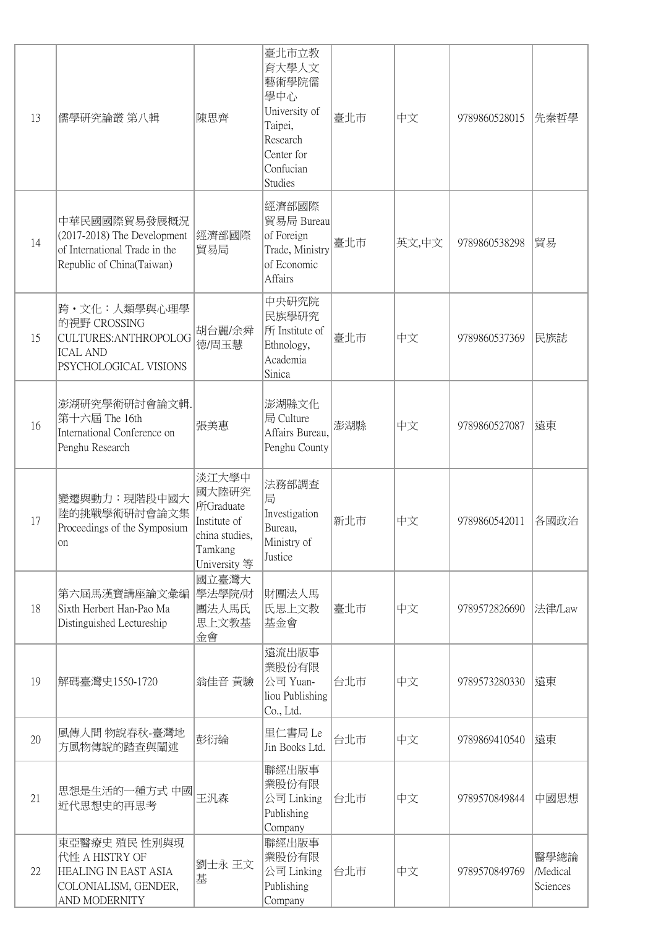| 13 | 儒學研究論叢 第八輯                                                                                                | 陳思齊                                                                                      | 臺北市立教<br>育大學人文<br>藝術學院儒<br>學中心<br>University of<br>Taipei,<br>Research<br>Center for<br>Confucian<br><b>Studies</b> | 臺北市 | 中文    | 9789860528015 | 先秦哲學                         |
|----|-----------------------------------------------------------------------------------------------------------|------------------------------------------------------------------------------------------|---------------------------------------------------------------------------------------------------------------------|-----|-------|---------------|------------------------------|
| 14 | 中華民國國際貿易發展概況<br>(2017-2018) The Development<br>of International Trade in the<br>Republic of China(Taiwan) | 經濟部國際<br>貿易局                                                                             | 經濟部國際<br>貿易局 Bureau<br>of Foreign<br>Trade, Ministry<br>of Economic<br>Affairs                                      | 臺北市 | 英文,中文 | 9789860538298 | 貿易                           |
| 15 | 跨・文化:人類學與心理學<br>的視野 CROSSING<br>CULTURES: ANTHROPOLOG<br><b>ICAL AND</b><br>PSYCHOLOGICAL VISIONS         | 胡台麗/余舜<br>德/周玉慧                                                                          | 中央研究院<br>民族學研究<br>所 Institute of<br>Ethnology,<br>Academia<br>Sinica                                                | 臺北市 | 中文    | 9789860537369 | 民族誌                          |
| 16 | 澎湖研究學術研討會論文輯.<br>第十六屆 The 16th<br>International Conference on<br>Penghu Research                          | 張美惠                                                                                      | 澎湖縣文化<br>局 Culture<br>Affairs Bureau,<br>Penghu County                                                              | 澎湖縣 | 中文    | 9789860527087 | 遠東                           |
| 17 | 變遷與動力:現階段中國大<br>陸的挑戰學術研討會論文集<br>Proceedings of the Symposium<br>on                                        | 淡江大學中<br>國大陸研究<br>所Graduate<br>Institute of<br>china studies,<br>Tamkang<br>University 等 | 法務部調查<br>局<br>Investigation<br>Bureau,<br>Ministry of<br>Justice                                                    | 新北市 | 中文    | 9789860542011 | 各國政治                         |
| 18 | 第六屆馬漢寶講座論文彙編<br>Sixth Herbert Han-Pao Ma<br>Distinguished Lectureship                                     | 國立臺灣大<br>學法學院/財<br>團法人馬氏<br>思上文教基<br>金會                                                  | 財團法人馬<br>氏思上文教<br>基金會                                                                                               | 臺北市 | 中文    | 9789572826690 | 法律/Law                       |
| 19 | 解碼臺灣史1550-1720                                                                                            | 翁佳音 黃驗                                                                                   | 遠流出版事<br>業股份有限<br>公司 Yuan-<br>liou Publishing<br>Co., Ltd.                                                          | 台北市 | 中文    | 9789573280330 | 遠東                           |
| 20 | 風傳人間 物說春秋-臺灣地<br>方風物傳說的踏查與闡述                                                                              | 彭衍綸                                                                                      | 里仁書局 Le<br>Jin Books Ltd.                                                                                           | 台北市 | 中文    | 9789869410540 | 遠東                           |
| 21 | 思想是生活的一種方式 中國<br>近代思想史的再思考                                                                                | 王汎森                                                                                      | 聯經出版事<br>業股份有限<br>公司 Linking<br>Publishing<br>Company                                                               | 台北市 | 中文    | 9789570849844 | 中國思想                         |
| 22 | 東亞醫療史 殖民 性別與現<br>代性 A HISTRY OF<br>HEALING IN EAST ASIA<br>COLONIALISM, GENDER,<br>AND MODERNITY          | 劉士永 王文<br>基                                                                              | 聯經出版事<br>業股份有限<br>公司 Linking<br>Publishing<br>Company                                                               | 台北市 | 中文    | 9789570849769 | 醫學總論<br>/Medical<br>Sciences |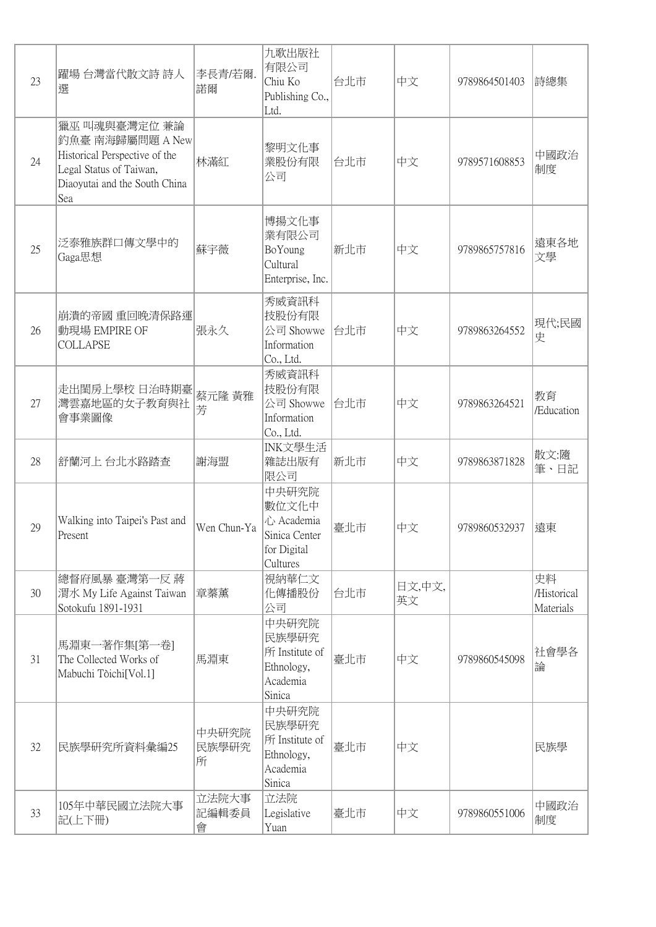| 23 | 躍場 台灣當代散文詩 詩人<br>選                                                                                                                    | 李長青/若爾.<br>諾爾       | 九歌出版社<br>有限公司<br>Chiu Ko<br>Publishing Co.,<br>Ltd.                      | 台北市 | 中文           | 9789864501403 | 詩總集                            |
|----|---------------------------------------------------------------------------------------------------------------------------------------|---------------------|--------------------------------------------------------------------------|-----|--------------|---------------|--------------------------------|
| 24 | 獵巫 叫魂與臺灣定位 兼論<br>釣魚臺 南海歸屬問題 A New<br>Historical Perspective of the<br>Legal Status of Taiwan,<br>Diaoyutai and the South China<br>Sea | 林滿紅                 | 黎明文化事<br>業股份有限<br>公司                                                     | 台北市 | 中文           | 9789571608853 | 中國政治<br>制度                     |
| 25 | 泛泰雅族群口傳文學中的<br>Gaga思想                                                                                                                 | 蘇宇薇                 | 博揚文化事<br>業有限公司<br>BoYoung<br>Cultural<br>Enterprise, Inc.                | 新北市 | 中文           | 9789865757816 | 遠東各地<br>文學                     |
| 26 | 崩潰的帝國 重回晚清保路運<br>動現場 EMPIRE OF<br><b>COLLAPSE</b>                                                                                     | 張永久                 | 秀威資訊科<br>技股份有限<br>公司 Showwe<br>Information<br>Co., Ltd.                  | 台北市 | 中文           | 9789863264552 | 現代;民國<br>史                     |
| 27 | 走出閨房上學校 日治時期臺<br>灣雲嘉地區的女子教育與社<br>會事業圖像                                                                                                | 蔡元隆 黃雅<br>芳         | 秀威資訊科<br>技股份有限<br>公司 Showwe<br>Information<br>Co., Ltd.                  | 台北市 | 中文           | 9789863264521 | 教育<br>/Education               |
| 28 | 舒蘭河上 台北水路踏查                                                                                                                           | 謝海盟                 | INK文學生活<br>雜誌出版有<br>限公司                                                  | 新北市 | 中文           | 9789863871828 | 散文:隨<br>筆、日記                   |
| 29 | Walking into Taipei's Past and<br>Present                                                                                             | Wen Chun-Ya         | 中央研究院<br>數位文化中<br>心 Academia<br>Sinica Center<br>for Digital<br>Cultures | 臺北市 | 中文           | 9789860532937 | 遠東                             |
| 30 | 總督府風暴 臺灣第一反 蔣<br>潤水 My Life Against Taiwan<br>Sotokufu 1891-1931                                                                      | 章蓁薰                 | 視納華仁文<br>化傳播股份<br>公司                                                     | 台北市 | 日文,中文,<br>英文 |               | 史料<br>/Historical<br>Materials |
| 31 | 馬淵東一著作集[第一卷]<br>The Collected Works of<br>Mabuchi Tòichi [Vol.1]                                                                      | 馬淵東                 | 中央研究院<br>民族學研究<br>所 Institute of<br>Ethnology,<br>Academia<br>Sinica     | 臺北市 | 中文           | 9789860545098 | 社會學各<br>論                      |
| 32 | 民族學研究所資料彙編25                                                                                                                          | 中央研究院<br>民族學研究<br>所 | 中央研究院<br>民族學研究<br>所 Institute of<br>Ethnology,<br>Academia<br>Sinica     | 臺北市 | 中文           |               | 民族學                            |
| 33 | 105年中華民國立法院大事<br>記(上下冊)                                                                                                               | 立法院大事<br>記編輯委員<br>會 | 立法院<br>Legislative<br>Yuan                                               | 臺北市 | 中文           | 9789860551006 | 中國政治<br>制度                     |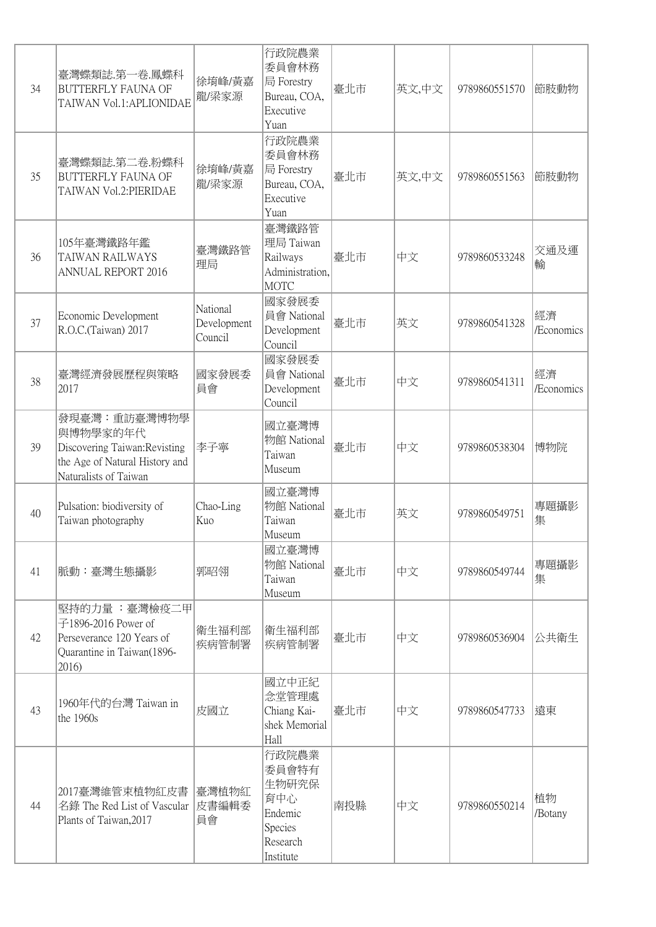| 34 | 臺灣蝶類誌.第一卷.鳳蝶科<br><b>BUTTERFLY FAUNA OF</b><br>TAIWAN Vol.1:APLIONIDAE                                                | 徐堉峰/黄嘉<br>龍/梁家源                    | 行政院農業<br>委員會林務<br>局 Forestry<br>Bureau, COA,<br>Executive<br>Yuan             | 臺北市 | 英文,中文 | 9789860551570 | 節肢動物             |
|----|----------------------------------------------------------------------------------------------------------------------|------------------------------------|-------------------------------------------------------------------------------|-----|-------|---------------|------------------|
| 35 | 臺灣蝶類誌.第二卷.粉蝶科<br><b>BUTTERFLY FAUNA OF</b><br>TAIWAN Vol.2: PIERIDAE                                                 | 徐堉峰/黄嘉<br>龍/梁家源                    | 行政院農業<br>委員會林務<br>局 Forestry<br>Bureau, COA,<br>Executive<br>Yuan             | 臺北市 | 英文,中文 | 9789860551563 | 節肢動物             |
| 36 | 105年臺灣鐵路年鑑<br>TAIWAN RAILWAYS<br><b>ANNUAL REPORT 2016</b>                                                           | 臺灣鐵路管<br>理局                        | 臺灣鐵路管<br>理局 Taiwan<br>Railways<br>Administration,<br><b>MOTC</b>              | 臺北市 | 中文    | 9789860533248 | 交通及運<br>輸        |
| 37 | Economic Development<br>R.O.C.(Taiwan) 2017                                                                          | National<br>Development<br>Council | 國家發展委<br>員會 National<br>Development<br>Council                                | 臺北市 | 英文    | 9789860541328 | 經濟<br>/Economics |
| 38 | 臺灣經濟發展歷程與策略<br>2017                                                                                                  | 國家發展委<br>員會                        | 國家發展委<br>員會 National<br>Development<br>Council                                | 臺北市 | 中文    | 9789860541311 | 經濟<br>/Economics |
| 39 | 發現臺灣:重訪臺灣博物學<br>與博物學家的年代<br>Discovering Taiwan: Revisting<br>the Age of Natural History and<br>Naturalists of Taiwan | 李子寧                                | 國立臺灣博<br>物館 National<br>Taiwan<br>Museum                                      | 臺北市 | 中文    | 9789860538304 | 博物院              |
| 40 | Pulsation: biodiversity of<br>Taiwan photography                                                                     | Chao-Ling<br>Kuo                   | 國立臺灣博<br>物館 National<br>Taiwan<br>Museum                                      | 臺北市 | 英文    | 9789860549751 | 專題攝影<br>集        |
| 41 | 脈動:臺灣生態攝影                                                                                                            | 郭昭翎                                | 國立臺灣博<br>物館 National<br>Taiwan<br>Museum                                      | 臺北市 | 中文    | 9789860549744 | 專題攝影<br>集        |
| 42 | 堅持的力量 :臺灣檢疫二甲 <br>子1896-2016 Power of<br>Perseverance 120 Years of<br>Quarantine in Taiwan(1896-<br>2016)            | 衛生福利部<br>疾病管制署                     | 衛生福利部<br>疾病管制署                                                                | 臺北市 | 中文    | 9789860536904 | 公共衛生             |
| 43 | 1960年代的台灣 Taiwan in<br>the 1960s                                                                                     | 皮國立                                | 國立中正紀<br>念堂管理處<br>Chiang Kai-<br>shek Memorial<br>Hall                        | 臺北市 | 中文    | 9789860547733 | 遠東               |
| 44 | 2017臺灣維管束植物紅皮書<br>名錄 The Red List of Vascular<br>Plants of Taiwan, 2017                                              | 臺灣植物紅<br>皮書編輯委<br>員會               | 行政院農業<br>委員會特有<br>生物研究保<br>育中心<br>Endemic<br>Species<br>Research<br>Institute | 南投縣 | 中文    | 9789860550214 | 植物<br>/Botany    |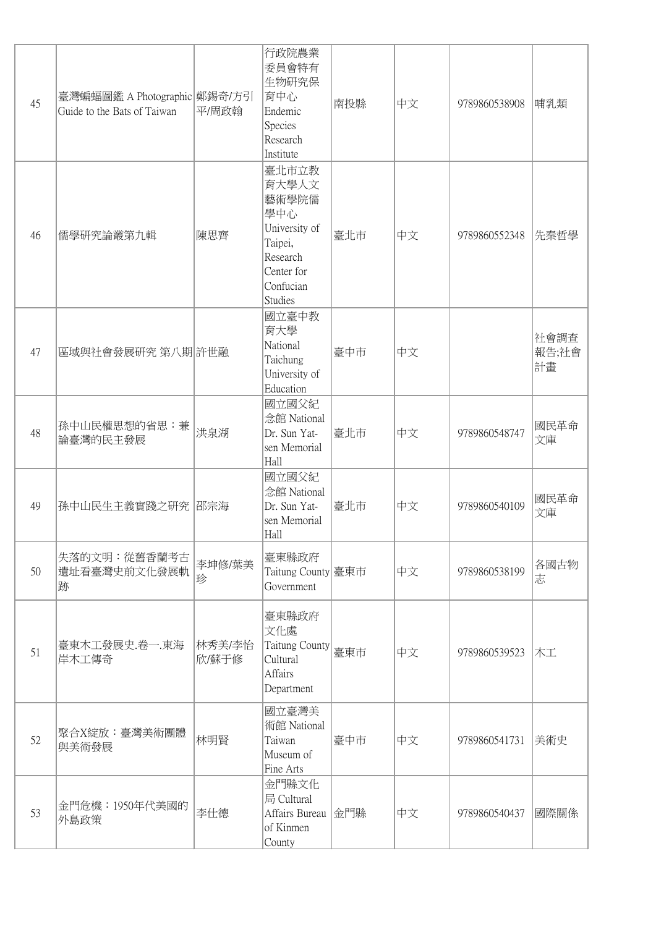| 45 | 臺灣蝙蝠圖鑑 A Photographic 鄭錫奇/方引<br>Guide to the Bats of Taiwan | 平/周政翰           | 行政院農業<br>委員會特有<br>生物研究保<br>育中心<br>Endemic<br>Species<br>Research<br>Institute                                | 南投縣 | 中文 | 9789860538908 | 哺乳類                 |
|----|-------------------------------------------------------------|-----------------|--------------------------------------------------------------------------------------------------------------|-----|----|---------------|---------------------|
| 46 | 儒學研究論叢第九輯                                                   | 陳思齊             | 臺北市立教<br>育大學人文<br>藝術學院儒<br>學中心<br>University of<br>Taipei,<br>Research<br>Center for<br>Confucian<br>Studies | 臺北市 | 中文 | 9789860552348 | 先秦哲學                |
| 47 | 區域與社會發展研究 第八期 許世融                                           |                 | 國立臺中教<br>育大學<br>National<br>Taichung<br>University of<br>Education                                           | 臺中市 | 中文 |               | 社會調查<br>報告;社會<br>計畫 |
| 48 | 孫中山民權思想的省思:兼<br>論臺灣的民主發展                                    | 洪泉湖             | 國立國父紀<br>念館 National<br>Dr. Sun Yat-<br>sen Memorial<br>Hall                                                 | 臺北市 | 中文 | 9789860548747 | 國民革命<br>文庫          |
| 49 | 孫中山民生主義實踐之研究   邵宗海                                          |                 | 國立國父紀<br>念館 National<br>Dr. Sun Yat-<br>sen Memorial<br>Hall                                                 | 臺北市 | 中文 | 9789860540109 | 國民革命<br>文庫          |
| 50 | 失落的文明: 從舊香蘭考古<br>遺址看臺灣史前文化發展軌<br>跡                          | 李坤修/葉美<br>珍     | 臺東縣政府<br>Taitung County 臺東市<br>Government                                                                    |     | 中文 | 9789860538199 | 各國古物<br>志           |
| 51 | 臺東木工發展史.卷一.東海<br>岸木工傳奇                                      | 林秀美/李怡<br>欣/蘇于修 | 臺東縣政府<br>文化處<br>Taitung County<br>Cultural<br>Affairs<br>Department                                          | 臺東市 | 中文 | 9789860539523 | 木工                  |
| 52 | 聚合X綻放:臺灣美術團體<br>與美術發展                                       | 林明賢             | 國立臺灣美<br>術館 National<br>Taiwan<br>Museum of<br>Fine Arts                                                     | 臺中市 | 中文 | 9789860541731 | 美術史                 |
| 53 | 金門危機: 1950年代美國的<br>外島政策                                     | 李仕德             | 金門縣文化<br>局 Cultural<br>Affairs Bureau 金門縣<br>of Kinmen<br>County                                             |     | 中文 | 9789860540437 | 國際關係                |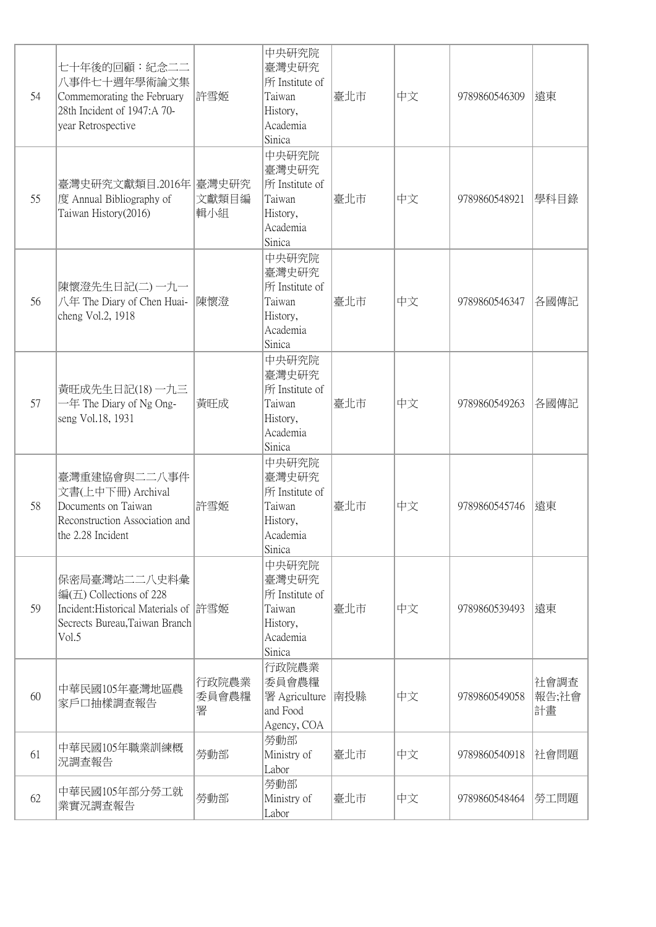| 54 | 七十年後的回顧:紀念二二<br>八事件七十週年學術論文集<br>Commemorating the February<br>28th Incident of 1947:A 70-<br>year Retrospective             | 許雪姬                 | 中央研究院<br>臺灣史研究<br>所 Institute of<br>Taiwan<br>History,<br>Academia<br>Sinica | 臺北市 | 中文 | 9789860546309 | 遠東                  |
|----|-----------------------------------------------------------------------------------------------------------------------------|---------------------|------------------------------------------------------------------------------|-----|----|---------------|---------------------|
| 55 | 臺灣史研究文獻類目.2016年 臺灣史研究<br>度 Annual Bibliography of<br>Taiwan History(2016)                                                   | 文獻類目編<br>輯小組        | 中央研究院<br>臺灣史研究<br>所 Institute of<br>Taiwan<br>History,<br>Academia<br>Sinica | 臺北市 | 中文 | 9789860548921 | 學科目錄                |
| 56 | 陳懷澄先生日記(二)一九一<br>八年 The Diary of Chen Huai-<br>cheng Vol.2, 1918                                                            | 陳懷澄                 | 中央研究院<br>臺灣史研究<br>所 Institute of<br>Taiwan<br>History,<br>Academia<br>Sinica | 臺北市 | 中文 | 9789860546347 | 各國傳記                |
| 57 | 黃旺成先生日記(18)一九三<br>$-\text{f}$ The Diary of Ng Ong-<br>seng Vol.18, 1931                                                     | 黃旺成                 | 中央研究院<br>臺灣史研究<br>所 Institute of<br>Taiwan<br>History,<br>Academia<br>Sinica | 臺北市 | 中文 | 9789860549263 | 各國傳記                |
| 58 | 臺灣重建協會與二二八事件<br>文書(上中下冊) Archival<br>Documents on Taiwan<br>Reconstruction Association and<br>the 2.28 Incident             | 許雪姬                 | 中央研究院<br>臺灣史研究<br>所 Institute of<br>Taiwan<br>History,<br>Academia<br>Sinica | 臺北市 | 中文 | 9789860545746 | 遠東                  |
| 59 | 保密局臺灣站二二八史料彙<br>编(五) Collections of 228<br>Incident: Historical Materials of 許雪姬<br>Secrects Bureau, Taiwan Branch<br>Vol.5 |                     | 中央研究院<br>臺灣史研究<br>所 Institute of<br>Taiwan<br>History,<br>Academia<br>Sinica | 臺北市 | 中文 | 9789860539493 | 遠東                  |
| 60 | 中華民國105年臺灣地區農<br>家戶口抽樣調查報告                                                                                                  | 行政院農業<br>委員會農糧<br>署 | 行政院農業<br>委員會農糧<br>署 Agriculture<br>and Food<br>Agency, COA                   | 南投縣 | 中文 | 9789860549058 | 社會調查<br>報告;社會<br>計畫 |
| 61 | 中華民國105年職業訓練概<br>況調査報告                                                                                                      | 勞動部                 | 勞動部<br>Ministry of<br>Labor                                                  | 臺北市 | 中文 | 9789860540918 | 社會問題                |
| 62 | 中華民國105年部分勞工就<br>業實況調查報告                                                                                                    | 勞動部                 | 勞動部<br>Ministry of<br>Labor                                                  | 臺北市 | 中文 | 9789860548464 | 勞工問題                |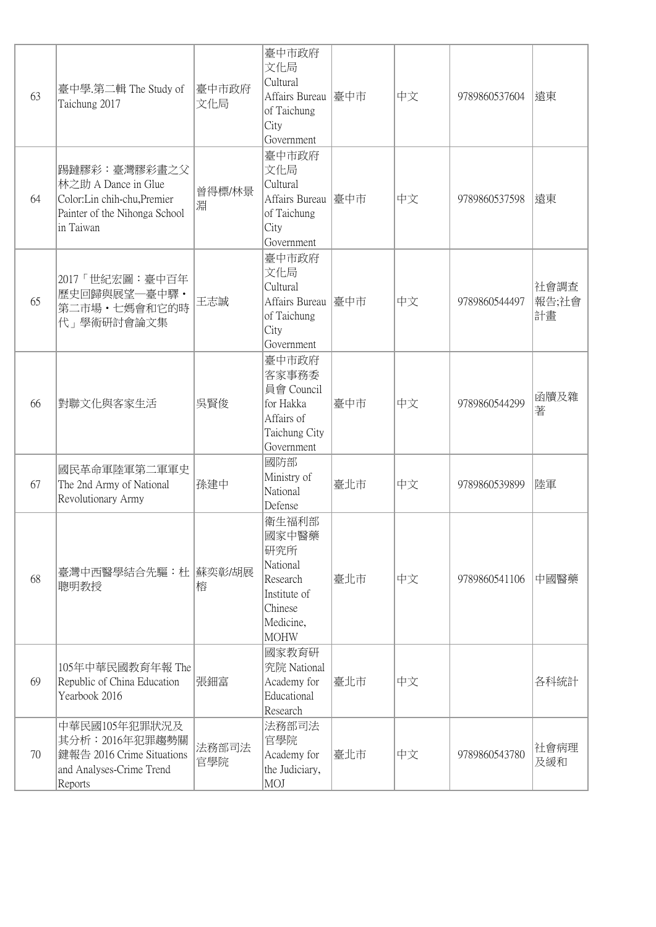| 63 | 臺中學.第二輯 The Study of<br>Taichung 2017                                                                            | 臺中市政府<br>文化局 | 臺中市政府<br>文化局<br>Cultural<br>Affairs Bureau 臺中市<br>of Taichung<br>City<br>Government                  |     | 中文 | 9789860537604 | 遠東                  |
|----|------------------------------------------------------------------------------------------------------------------|--------------|------------------------------------------------------------------------------------------------------|-----|----|---------------|---------------------|
| 64 | 踢躂膠彩:臺灣膠彩畫之父<br>林之助 A Dance in Glue<br>Color:Lin chih-chu, Premier<br>Painter of the Nihonga School<br>in Taiwan | 曾得標/林景<br>淵  | 臺中市政府<br>文化局<br>Cultural<br>Affairs Bureau 臺中市<br>of Taichung<br>City<br>Government                  |     | 中文 | 9789860537598 | 遠東                  |
| 65 | 2017「世紀宏圖:臺中百年<br>歷史回歸與展望一臺中驛·<br>第二市場·七媽會和它的時<br>代」學術研討會論文集                                                     | 王志誠          | 臺中市政府<br>文化局<br>Cultural<br>Affairs Bureau 臺中市<br>of Taichung<br>City<br>Government                  |     | 中文 | 9789860544497 | 社會調查<br>報告;社會<br>計畫 |
| 66 | 對聯文化與客家生活                                                                                                        | 吳賢俊          | 臺中市政府<br>客家事務委<br>員會 Council<br>for Hakka<br>Affairs of<br>Taichung City<br>Government               | 臺中市 | 中文 | 9789860544299 | 函牘及雜<br>著           |
| 67 | 國民革命軍陸軍第二軍軍史<br>The 2nd Army of National<br>Revolutionary Army                                                   | 孫建中          | 國防部<br>Ministry of<br>National<br>Defense                                                            | 臺北市 | 中文 | 9789860539899 | 陸軍                  |
| 68 | 臺灣中西醫學結合先驅:杜  蘇奕彰/胡展<br>聰明教授                                                                                     | 榕            | 衛生福利部<br>國家中醫藥<br>研究所<br>National<br>Research<br>Institute of<br>Chinese<br>Medicine,<br><b>MOHW</b> | 臺北市 | 中文 | 9789860541106 | 中國醫藥                |
| 69 | 105年中華民國教育年報 The<br>Republic of China Education<br>Yearbook 2016                                                 | 張鈿富          | 國家教育研<br>究院 National<br>Academy for<br>Educational<br>Research                                       | 臺北市 | 中文 |               | 各科統計                |
| 70 | 中華民國105年犯罪狀況及<br>其分析: 2016年犯罪趨勢關<br>鍵報告 2016 Crime Situations<br>and Analyses-Crime Trend<br>Reports             | 法務部司法<br>官學院 | 法務部司法<br>官學院<br>Academy for<br>the Judiciary,<br>MOJ                                                 | 臺北市 | 中文 | 9789860543780 | 社會病理<br>及緩和         |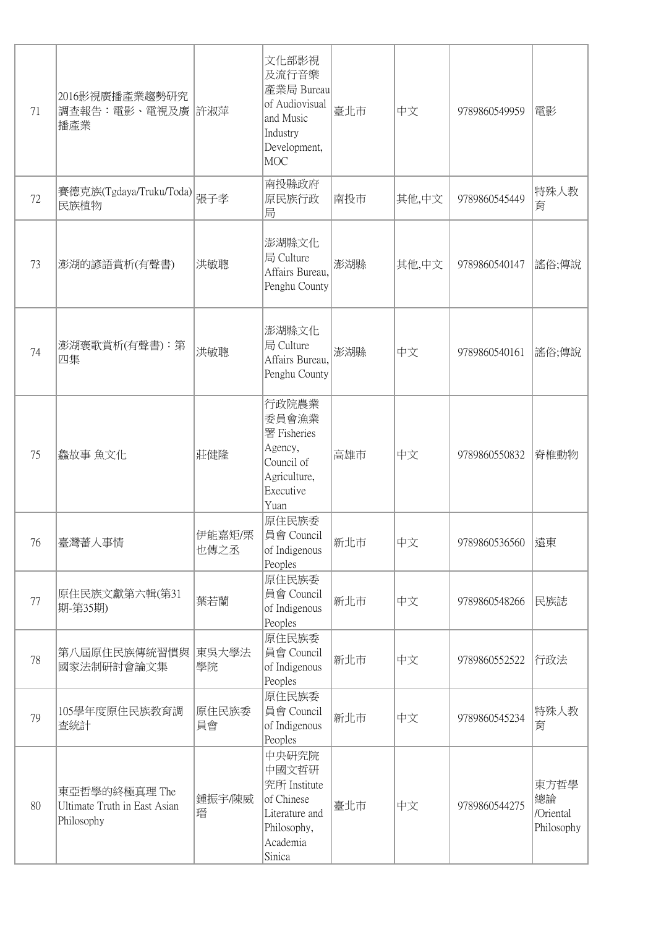| 71 | 2016影視廣播產業趨勢研究<br>調查報告:電影、電視及廣 許淑萍<br>播產業                   |                | 文化部影視<br>及流行音樂<br>產業局 Bureau<br>of Audiovisual<br>and Music<br>Industry<br>Development,<br><b>MOC</b> | 臺北市 | 中文    | 9789860549959 | 電影                                    |
|----|-------------------------------------------------------------|----------------|-------------------------------------------------------------------------------------------------------|-----|-------|---------------|---------------------------------------|
| 72 | 賽德克族(Tgdaya/Truku/Toda)<br>民族植物                             | 張子孝            | 南投縣政府<br>原民族行政<br>局                                                                                   | 南投市 | 其他,中文 | 9789860545449 | 特殊人教<br>育                             |
| 73 | 澎湖的諺語賞析(有聲書)                                                | 洪敏聰            | 澎湖縣文化<br>局 Culture<br>Affairs Bureau,<br>Penghu County                                                | 澎湖縣 | 其他,中文 | 9789860540147 | 謠俗;傳說                                 |
| 74 | 澎湖褒歌賞析(有聲書):第<br>四集                                         | 洪敏聰            | 澎湖縣文化<br>局 Culture<br>Affairs Bureau,<br>Penghu County                                                | 澎湖縣 | 中文    | 9789860540161 | 謠俗;傳說                                 |
| 75 | 鱻故事 魚文化                                                     | 莊健隆            | 行政院農業<br>委員會漁業<br>署 Fisheries<br>Agency,<br>Council of<br>Agriculture,<br>Executive<br>Yuan           | 高雄市 | 中文    | 9789860550832 | 脊椎動物                                  |
| 76 | 臺灣蓄人事情                                                      | 伊能嘉矩/栗<br>也傳之丞 | 原住民族委<br>員會 Council<br>of Indigenous<br>Peoples                                                       | 新北市 | 中文    | 9789860536560 | 遠東                                    |
| 77 | 原住民族文獻第六輯(第31<br> 期-第35期)                                   | 葉若蘭            | 原住民族委<br>員會 Council<br>of Indigenous<br>Peoples                                                       | 新北市 | 中文    | 9789860548266 | 民族誌                                   |
| 78 | 第八屆原住民族傳統習慣與<br>國家法制研討會論文集                                  | 東吳大學法<br>學院    | 原住民族委<br>員會 Council<br>of Indigenous<br>Peoples                                                       | 新北市 | 中文    | 9789860552522 | 行政法                                   |
| 79 | 105學年度原住民族教育調<br>査統計                                        | 原住民族委<br>員會    | 原住民族委<br>員會 Council<br>of Indigenous<br>Peoples                                                       | 新北市 | 中文    | 9789860545234 | 特殊人教<br>育                             |
| 80 | 東亞哲學的終極真理 The<br>Ultimate Truth in East Asian<br>Philosophy | 鍾振宇/陳威<br>瑨    | 中央研究院<br>中國文哲研<br>究所 Institute<br>of Chinese<br>Literature and<br>Philosophy,<br>Academia<br>Sinica   | 臺北市 | 中文    | 9789860544275 | 東方哲學<br>總論<br>/Oriental<br>Philosophy |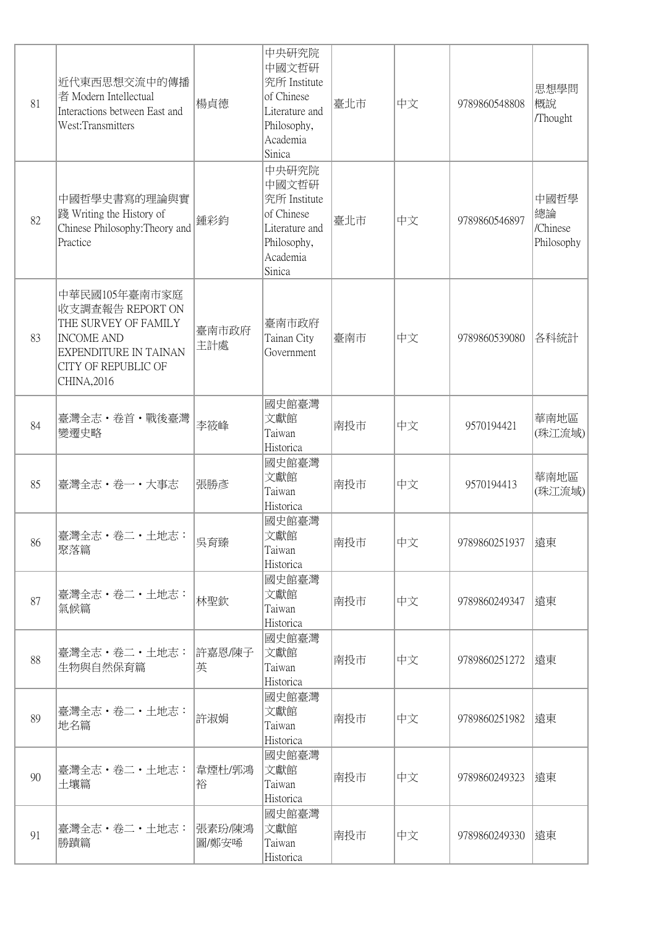| 81 | 近代東西思想交流中的傳播<br>者 Modern Intellectual<br>Interactions between East and<br>West:Transmitters                                                                 | 楊貞德             | 中央研究院<br>中國文哲研<br>究所 Institute<br>of Chinese<br>Literature and<br>Philosophy,<br>Academia<br>Sinica | 臺北市 | 中文 | 9789860548808 | 思想學問<br>概說<br>/Thought               |
|----|-------------------------------------------------------------------------------------------------------------------------------------------------------------|-----------------|-----------------------------------------------------------------------------------------------------|-----|----|---------------|--------------------------------------|
| 82 | 中國哲學史書寫的理論與實<br>踐 Writing the History of<br>Chinese Philosophy: Theory and<br>Practice                                                                      | 鍾彩鈞             | 中央研究院<br>中國文哲研<br>究所 Institute<br>of Chinese<br>Literature and<br>Philosophy,<br>Academia<br>Sinica | 臺北市 | 中文 | 9789860546897 | 中國哲學<br>總論<br>/Chinese<br>Philosophy |
| 83 | 中華民國105年臺南市家庭<br>收支調查報告 REPORT ON<br>THE SURVEY OF FAMILY<br><b>INCOME AND</b><br><b>EXPENDITURE IN TAINAN</b><br><b>CITY OF REPUBLIC OF</b><br>CHINA, 2016 | 臺南市政府<br>主計處    | 臺南市政府<br>Tainan City<br>Government                                                                  | 臺南市 | 中文 | 9789860539080 | 各科統計                                 |
| 84 | 臺灣全志・卷首・戰後臺灣<br>變遷史略                                                                                                                                        | 李筱峰             | 國史館臺灣<br>文獻館<br>Taiwan<br>Historica                                                                 | 南投市 | 中文 | 9570194421    | 華南地區<br>(珠江流域)                       |
| 85 | 臺灣全志·卷一·大事志                                                                                                                                                 | 張勝彥             | 國史館臺灣<br>文獻館<br>Taiwan<br>Historica                                                                 | 南投市 | 中文 | 9570194413    | 華南地區<br>(珠江流域)                       |
| 86 | 臺灣全志・卷二・土地志: <br>聚落篇                                                                                                                                        | 吳育臻             | 國史館臺灣<br>文獻館<br>Taiwan<br>Historica                                                                 | 南投市 | 中文 | 9789860251937 | 遠東                                   |
| 87 | 臺灣全志・卷二・土地志:<br>氣候篇                                                                                                                                         | 林聖欽             | 國史館臺灣<br>文獻館<br>Taiwan<br>Historica                                                                 | 南投市 | 中文 | 9789860249347 | 遠東                                   |
| 88 | 臺灣全志・卷二・土地志:<br>生物與自然保育篇                                                                                                                                    | 許嘉恩/陳子<br>英     | 國史館臺灣<br>文獻館<br>Taiwan<br>Historica                                                                 | 南投市 | 中文 | 9789860251272 | 遠東                                   |
| 89 | 臺灣全志 · 卷二 · 土地志:<br>地名篇                                                                                                                                     | 許淑娟             | 國史館臺灣<br>文獻館<br>Taiwan<br>Historica                                                                 | 南投市 | 中文 | 9789860251982 | 遠東                                   |
| 90 | 臺灣全志・卷二・土地志:<br>土壤篇                                                                                                                                         | 韋煙杜/郭鴻<br>裕     | 國史館臺灣<br>文獻館<br>Taiwan<br>Historica                                                                 | 南投市 | 中文 | 9789860249323 | 遠東                                   |
| 91 | 臺灣全志・卷二・土地志:<br>勝蹟篇                                                                                                                                         | 張素玢/陳鴻<br>圖/鄭安唏 | 國史館臺灣<br>文獻館<br>Taiwan<br>Historica                                                                 | 南投市 | 中文 | 9789860249330 | 遠東                                   |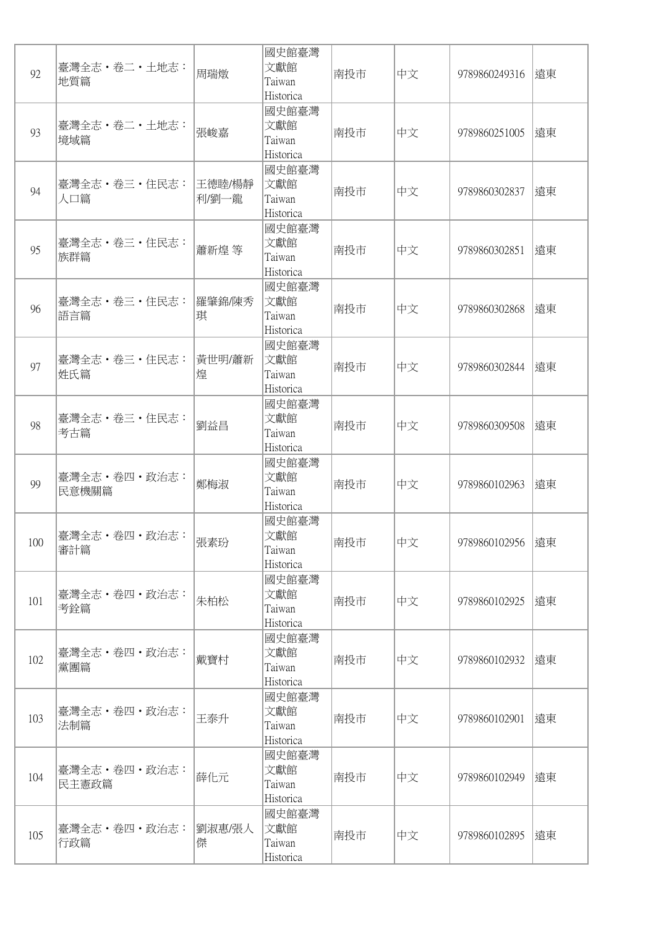| 92  | 臺灣全志 · 卷二 · 土地志:<br>地質篇 | 周瑞燉              | 國史館臺灣<br>文獻館<br>Taiwan<br>Historica | 南投市 | 中文 | 9789860249316 | 遠東 |
|-----|-------------------------|------------------|-------------------------------------|-----|----|---------------|----|
| 93  | 臺灣全志 · 卷二 · 土地志:<br>境域篇 | 張峻嘉              | 國史館臺灣<br>文獻館<br>Taiwan<br>Historica | 南投市 | 中文 | 9789860251005 | 遠東 |
| 94  | 臺灣全志 · 卷三 · 住民志:<br>人口篇 | 王德睦/楊靜<br> 利/劉一龍 | 國史館臺灣<br>文獻館<br>Taiwan<br>Historica | 南投市 | 中文 | 9789860302837 | 遠東 |
| 95  | 臺灣全志・卷三・住民志:<br>族群篇     | 蕭新煌 等            | 國史館臺灣<br>文獻館<br>Taiwan<br>Historica | 南投市 | 中文 | 9789860302851 | 遠東 |
| 96  | 臺灣全志・卷三・住民志:<br>語言篇     | 羅肇錦/陳秀<br>琪      | 國史館臺灣<br>文獻館<br>Taiwan<br>Historica | 南投市 | 中文 | 9789860302868 | 遠東 |
| 97  | 臺灣全志・卷三・住民志:<br>姓氏篇     | 黃世明/蕭新<br>煌      | 國史館臺灣<br>文獻館<br>Taiwan<br>Historica | 南投市 | 中文 | 9789860302844 | 遠東 |
| 98  | 臺灣全志 · 卷三 · 住民志:<br>考古篇 | 劉益昌              | 國史館臺灣<br>文獻館<br>Taiwan<br>Historica | 南投市 | 中文 | 9789860309508 | 遠東 |
| 99  | 臺灣全志·卷四·政治志:<br>民意機關篇   | 鄭梅淑              | 國史館臺灣<br>文獻館<br>Taiwan<br>Historica | 南投市 | 中文 | 9789860102963 | 遠東 |
| 100 | 臺灣全志・卷四・政治志:<br>審計篇     | 張素玢              | 國史館臺灣<br>文獻館<br>Taiwan<br>Historica | 南投市 | 中文 | 9789860102956 | 遠東 |
| 101 | 臺灣全志・卷四・政治志:<br>考銓篇     | 朱柏松              | 國史館臺灣<br>文獻館<br>Taiwan<br>Historica | 南投市 | 中文 | 9789860102925 | 遠東 |
| 102 | 臺灣全志·卷四·政治志:<br>黨團篇     | 戴寶村              | 國史館臺灣<br>文獻館<br>Taiwan<br>Historica | 南投市 | 中文 | 9789860102932 | 遠東 |
| 103 | 臺灣全志・卷四・政治志:<br>法制篇     | 王泰升              | 國史館臺灣<br>文獻館<br>Taiwan<br>Historica | 南投市 | 中文 | 9789860102901 | 遠東 |
| 104 | 臺灣全志·卷四·政治志:<br>民主憲政篇   | 薛化元              | 國史館臺灣<br>文獻館<br>Taiwan<br>Historica | 南投市 | 中文 | 9789860102949 | 遠東 |
| 105 | 臺灣全志・卷四・政治志:<br>行政篇     | 劉淑惠/張人<br>傑      | 國史館臺灣<br>文獻館<br>Taiwan<br>Historica | 南投市 | 中文 | 9789860102895 | 遠東 |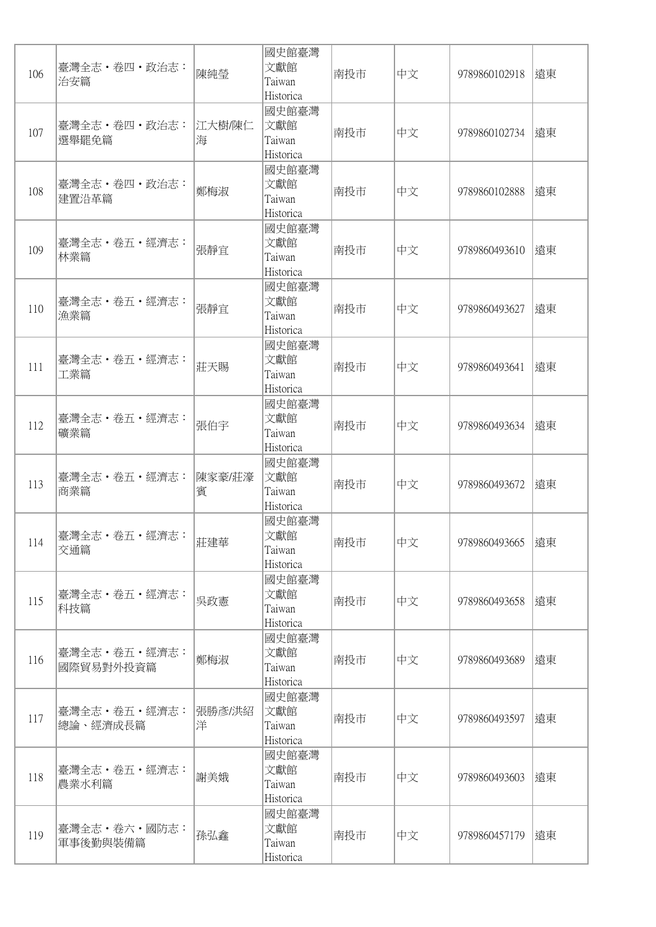| 106 | 臺灣全志・卷四・政治志:<br>治安篇           | 陳純瑩         | 國史館臺灣<br>文獻館<br>Taiwan<br>Historica | 南投市 | 中文 | 9789860102918 | 遠東 |
|-----|-------------------------------|-------------|-------------------------------------|-----|----|---------------|----|
| 107 | 臺灣全志・卷四・政治志:<br>選舉罷免篇         | 江大樹/陳仁<br>海 | 國史館臺灣<br>文獻館<br>Taiwan<br>Historica | 南投市 | 中文 | 9789860102734 | 遠東 |
| 108 | 臺灣全志・卷四・政治志:<br>建置沿革篇         | 鄭梅淑         | 國史館臺灣<br>文獻館<br>Taiwan<br>Historica | 南投市 | 中文 | 9789860102888 | 遠東 |
| 109 | 臺灣全志·卷五·經濟志:<br>林業篇           | 張靜宜         | 國史館臺灣<br>文獻館<br>Taiwan<br>Historica | 南投市 | 中文 | 9789860493610 | 遠東 |
| 110 | 臺灣全志・卷五・經濟志:<br>漁業篇           | 張靜宜         | 國史館臺灣<br>文獻館<br>Taiwan<br>Historica | 南投市 | 中文 | 9789860493627 | 遠東 |
| 111 | 臺灣全志・卷五・經濟志:<br>工業篇           | 莊天賜         | 國史館臺灣<br>文獻館<br>Taiwan<br>Historica | 南投市 | 中文 | 9789860493641 | 遠東 |
| 112 | 臺灣全志・卷五・經濟志:<br>礦業篇           | 張伯宇         | 國史館臺灣<br>文獻館<br>Taiwan<br>Historica | 南投市 | 中文 | 9789860493634 | 遠東 |
| 113 | 臺灣全志 · 卷五 · 經濟志:<br>商業篇       | 陳家豪/莊濠<br>賓 | 國史館臺灣<br>文獻館<br>Taiwan<br>Historica | 南投市 | 中文 | 9789860493672 | 遠東 |
| 114 | 臺灣全志・卷五・經濟志:<br>交通篇           | 莊建華         | 國史館臺灣<br>文獻館<br>Taiwan<br>Historica | 南投市 | 中文 | 9789860493665 | 遠東 |
| 115 | 臺灣全志・卷五・經濟志:<br>科技篇           | 吳政憲         | 國史館臺灣<br>文獻館<br>Taiwan<br>Historica | 南投市 | 中文 | 9789860493658 | 遠東 |
| 116 | 臺灣全志 · 卷五 · 經濟志:<br>國際貿易對外投資篇 | 鄭梅淑         | 國史館臺灣<br>文獻館<br>Taiwan<br>Historica | 南投市 | 中文 | 9789860493689 | 遠東 |
| 117 | 臺灣全志・卷五・經濟志:<br>總論、經濟成長篇      | 張勝彥/洪紹<br>洋 | 國史館臺灣<br>文獻館<br>Taiwan<br>Historica | 南投市 | 中文 | 9789860493597 | 遠東 |
| 118 | 臺灣全志·卷五·經濟志:<br>農業水利篇         | 謝美娥         | 國史館臺灣<br>文獻館<br>Taiwan<br>Historica | 南投市 | 中文 | 9789860493603 | 遠東 |
| 119 | 臺灣全志・卷六・國防志:<br>軍事後勤與裝備篇      | 孫弘鑫         | 國史館臺灣<br>文獻館<br>Taiwan<br>Historica | 南投市 | 中文 | 9789860457179 | 遠東 |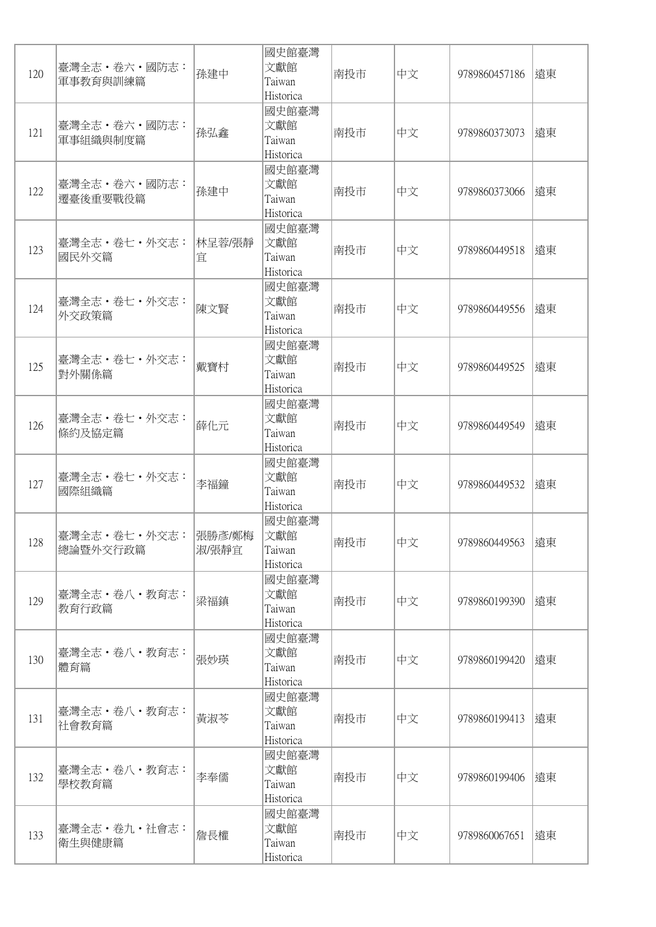| 120 | 臺灣全志·卷六·國防志:<br>軍事教育與訓練篇         | 孫建中         | 國史館臺灣<br>文獻館<br>Taiwan<br>Historica | 南投市 | 中文 | 9789860457186 | 遠東 |
|-----|----------------------------------|-------------|-------------------------------------|-----|----|---------------|----|
| 121 | 臺灣全志・卷六・國防志:<br>軍事組織與制度篇         | 孫弘鑫         | 國史館臺灣<br>文獻館<br>Taiwan<br>Historica | 南投市 | 中文 | 9789860373073 | 遠東 |
| 122 | 臺灣全志 · 卷六 · 國防志:<br>遷臺後重要戰役篇     | 孫建中         | 國史館臺灣<br>文獻館<br>Taiwan<br>Historica | 南投市 | 中文 | 9789860373066 | 遠東 |
| 123 | 臺灣全志・卷七・外交志:<br>國民外交篇            | 林呈蓉/張靜<br>宜 | 國史館臺灣<br>文獻館<br>Taiwan<br>Historica | 南投市 | 中文 | 9789860449518 | 遠東 |
| 124 | 臺灣全志·卷七·外交志:<br>外交政策篇            | 陳文賢         | 國史館臺灣<br>文獻館<br>Taiwan<br>Historica | 南投市 | 中文 | 9789860449556 | 遠東 |
| 125 | 臺灣全志・卷七・外交志:<br>對外關係篇            | 戴寶村         | 國史館臺灣<br>文獻館<br>Taiwan<br>Historica | 南投市 | 中文 | 9789860449525 | 遠東 |
| 126 | 臺灣全志·卷七·外交志:<br>條約及協定篇           | 薛化元         | 國史館臺灣<br>文獻館<br>Taiwan<br>Historica | 南投市 | 中文 | 9789860449549 | 遠東 |
| 127 | 臺灣全志 · 卷七 · 外交志:<br>國際組織篇        | 李福鐘         | 國史館臺灣<br>文獻館<br>Taiwan<br>Historica | 南投市 | 中文 | 9789860449532 | 遠東 |
| 128 | 臺灣全志・卷七・外交志:  張勝彥/鄭梅<br>總論暨外交行政篇 | 淑/張靜宜       | 國史館臺灣<br>文獻館<br>Taiwan<br>Historica | 南投市 | 中文 | 9789860449563 | 遠東 |
| 129 | 臺灣全志・卷八・教育志:<br>教育行政篇            | 梁福鎮         | 國史館臺灣<br>文獻館<br>Taiwan<br>Historica | 南投市 | 中文 | 9789860199390 | 遠東 |
| 130 | 臺灣全志·卷八·教育志:<br>體育篇              | 張妙瑛         | 國史館臺灣<br>文獻館<br>Taiwan<br>Historica | 南投市 | 中文 | 9789860199420 | 遠東 |
| 131 | 臺灣全志・卷八・教育志:<br>社會教育篇            | 黃淑苓         | 國史館臺灣<br>文獻館<br>Taiwan<br>Historica | 南投市 | 中文 | 9789860199413 | 遠東 |
| 132 | 臺灣全志・卷八・教育志:<br>學校教育篇            | 李奉儒         | 國史館臺灣<br>文獻館<br>Taiwan<br>Historica | 南投市 | 中文 | 9789860199406 | 遠東 |
| 133 | 臺灣全志・卷九・社會志:<br>衛生與健康篇           | 詹長權         | 國史館臺灣<br>文獻館<br>Taiwan<br>Historica | 南投市 | 中文 | 9789860067651 | 遠東 |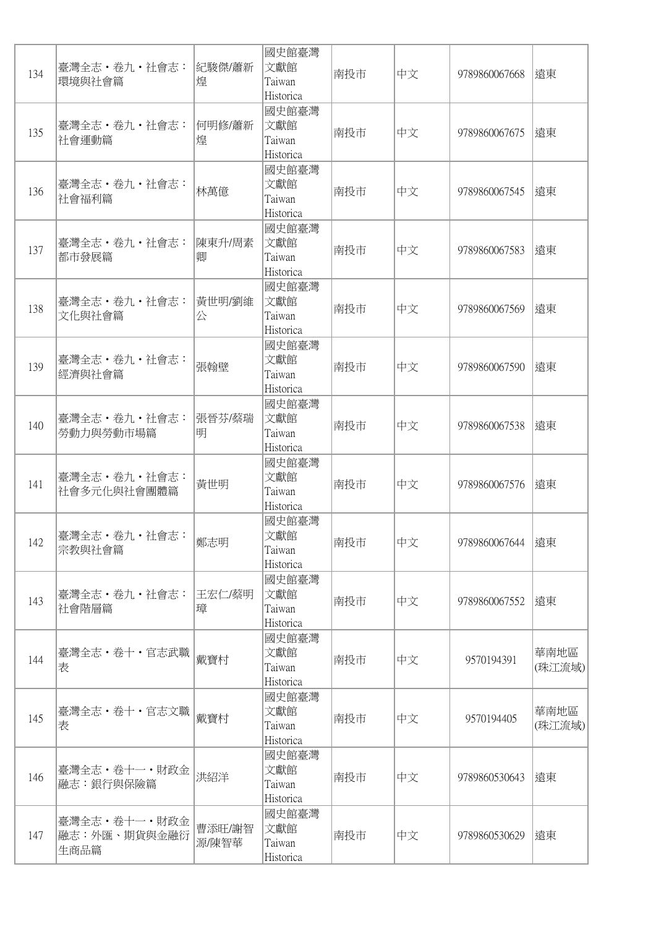| 134 | 臺灣全志 · 卷九 · 社會志:<br>環境與社會篇           | 紀駿傑/蕭新<br>煌     | 國史館臺灣<br>文獻館<br>Taiwan<br>Historica | 南投市 | 中文 | 9789860067668 | 遠東             |
|-----|--------------------------------------|-----------------|-------------------------------------|-----|----|---------------|----------------|
| 135 | 臺灣全志 · 卷九 · 社會志:<br> 社會運動篇           | 何明修/蕭新<br>煌     | 國史館臺灣<br>文獻館<br>Taiwan<br>Historica | 南投市 | 中文 | 9789860067675 | 遠東             |
| 136 | 臺灣全志・卷九・社會志:<br>社會福利篇                | 林萬億             | 國史館臺灣<br>文獻館<br>Taiwan<br>Historica | 南投市 | 中文 | 9789860067545 | 遠東             |
| 137 | 臺灣全志・卷九・社會志:<br>都市發展篇                | 陳東升/周素<br>卿     | 國史館臺灣<br>文獻館<br>Taiwan<br>Historica | 南投市 | 中文 | 9789860067583 | 遠東             |
| 138 | 臺灣全志 · 卷九 · 社會志:<br>文化與社會篇           | 黃世明/劉維<br>公     | 國史館臺灣<br>文獻館<br>Taiwan<br>Historica | 南投市 | 中文 | 9789860067569 | 遠東             |
| 139 | 臺灣全志·卷九·社會志:<br>經濟與社會篇               | 張翰壁             | 國史館臺灣<br>文獻館<br>Taiwan<br>Historica | 南投市 | 中文 | 9789860067590 | 遠東             |
| 140 | 臺灣全志·卷九·社會志:<br>勞動力與勞動市場篇            | 張晉芬/蔡瑞<br>明     | 國史館臺灣<br>文獻館<br>Taiwan<br>Historica | 南投市 | 中文 | 9789860067538 | 遠東             |
| 141 | 臺灣全志 · 卷九 · 社會志:<br>社會多元化與社會團體篇      | 黃世明             | 國史館臺灣<br>文獻館<br>Taiwan<br>Historica | 南投市 | 中文 | 9789860067576 | 遠東             |
| 142 | 臺灣全志・卷九・社會志:<br>宗教與社會篇               | 鄭志明             | 國史館臺灣<br>文獻館<br>Taiwan<br>Historica | 南投市 | 中文 | 9789860067644 | 遠東             |
| 143 | 臺灣全志・卷九・社會志:<br> 社會階層篇               | 王宏仁/蔡明<br>璋     | 國史館臺灣<br>文獻館<br>Taiwan<br>Historica | 南投市 | 中文 | 9789860067552 | 遠東             |
| 144 | 臺灣全志・卷十・官志武職<br>表                    | 戴寶村             | 國史館臺灣<br>文獻館<br>Taiwan<br>Historica | 南投市 | 中文 | 9570194391    | 華南地區<br>(珠江流域) |
| 145 | 臺灣全志・卷十・官志文職<br>表                    | 戴寶村             | 國史館臺灣<br>文獻館<br>Taiwan<br>Historica | 南投市 | 中文 | 9570194405    | 華南地區<br>(珠江流域) |
| 146 | 臺灣全志・卷十一・財政金<br>融志:銀行與保險篇            | 洪紹洋             | 國史館臺灣<br>文獻館<br>Taiwan<br>Historica | 南投市 | 中文 | 9789860530643 | 遠東             |
| 147 | 臺灣全志・卷十一・財政金<br>融志:外匯、期貨與金融衍<br>生商品篇 | 曹添旺/謝智<br>源/陳智華 | 國史館臺灣<br>文獻館<br>Taiwan<br>Historica | 南投市 | 中文 | 9789860530629 | 遠東             |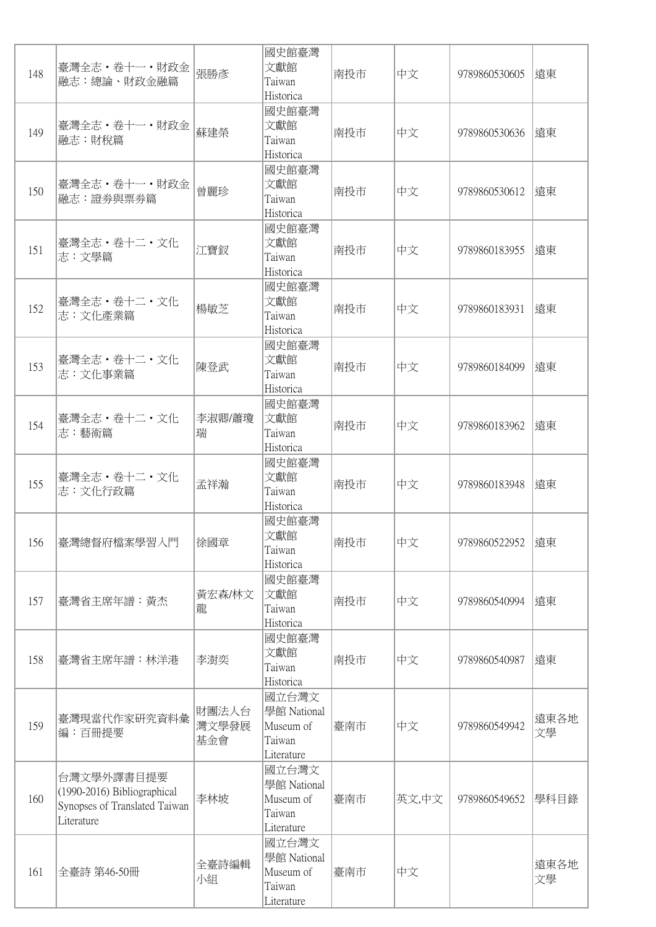| 148 | 臺灣全志・卷十一・財政金<br>融志:總論、財政金融篇                                                              | 張勝彥                   | 國史館臺灣<br>文獻館<br>Taiwan<br>Historica                       | 南投市 | 中文    | 9789860530605 | 遠東         |
|-----|------------------------------------------------------------------------------------------|-----------------------|-----------------------------------------------------------|-----|-------|---------------|------------|
| 149 | 臺灣全志・卷十一・財政金<br>融志:財稅篇                                                                   | 蘇建榮                   | 國史館臺灣<br>文獻館<br>Taiwan<br>Historica                       | 南投市 | 中文    | 9789860530636 | 遠東         |
| 150 | 臺灣全志 · 卷十一 · 財政金<br> 融志:證券與票券篇                                                           | 曾麗珍                   | 國史館臺灣<br>文獻館<br>Taiwan<br>Historica                       | 南投市 | 中文    | 9789860530612 | 遠東         |
| 151 | 臺灣全志・卷十二・文化<br>志:文學篇                                                                     | 江寶釵                   | 國史館臺灣<br>文獻館<br>Taiwan<br>Historica                       | 南投市 | 中文    | 9789860183955 | 遠東         |
| 152 | 臺灣全志·卷十二·文化<br>志:文化產業篇                                                                   | 楊敏芝                   | 國史館臺灣<br>文獻館<br>Taiwan<br>Historica                       | 南投市 | 中文    | 9789860183931 | 遠東         |
| 153 | 臺灣全志・卷十二・文化<br>志:文化事業篇                                                                   | 陳登武                   | 國史館臺灣<br>文獻館<br>Taiwan<br>Historica                       | 南投市 | 中文    | 9789860184099 | 遠東         |
| 154 | 臺灣全志・卷十二・文化<br>志:藝術篇                                                                     | 李淑卿/蕭瓊<br>瑞           | 國史館臺灣<br>文獻館<br>Taiwan<br>Historica                       | 南投市 | 中文    | 9789860183962 | 遠東         |
| 155 | 臺灣全志・卷十二・文化<br>志:文化行政篇                                                                   | 孟祥瀚                   | 國史館臺灣<br>文獻館<br>Taiwan<br>Historica                       | 南投市 | 中文    | 9789860183948 | 遠東         |
| 156 | 臺灣總督府檔案學習入門                                                                              | 徐國章                   | 國史館臺灣<br>文獻館<br>Taiwan<br>Historica                       | 南投市 | 中文    | 9789860522952 | 遠東         |
| 157 | 臺灣省主席年譜:黃杰                                                                               | 黃宏森/林文<br>龍           | 國史館臺灣<br>文獻館<br>Taiwan<br>Historica                       | 南投市 | 中文    | 9789860540994 | 遠東         |
| 158 | 臺灣省主席年譜:林洋港                                                                              | 李澍奕                   | 國史館臺灣<br>文獻館<br>Taiwan<br>Historica                       | 南投市 | 中文    | 9789860540987 | 遠東         |
| 159 | 臺灣現當代作家研究資料彙<br> 編:百冊提要                                                                  | 財團法人台<br>灣文學發展<br>基金會 | 國立台灣文<br>學館 National<br>Museum of<br>Taiwan<br>Literature | 臺南市 | 中文    | 9789860549942 | 遠東各地<br>文學 |
| 160 | 台灣文學外譯書目提要<br>(1990-2016) Bibliographical<br>Synopses of Translated Taiwan<br>Literature | 李林坡                   | 國立台灣文<br>學館 National<br>Museum of<br>Taiwan<br>Literature | 臺南市 | 英文,中文 | 9789860549652 | 學科目錄       |
| 161 | 全臺詩 第46-50冊                                                                              | 全臺詩編輯<br>小組           | 國立台灣文<br>學館 National<br>Museum of<br>Taiwan<br>Literature | 臺南市 | 中文    |               | 遠東各地<br>文學 |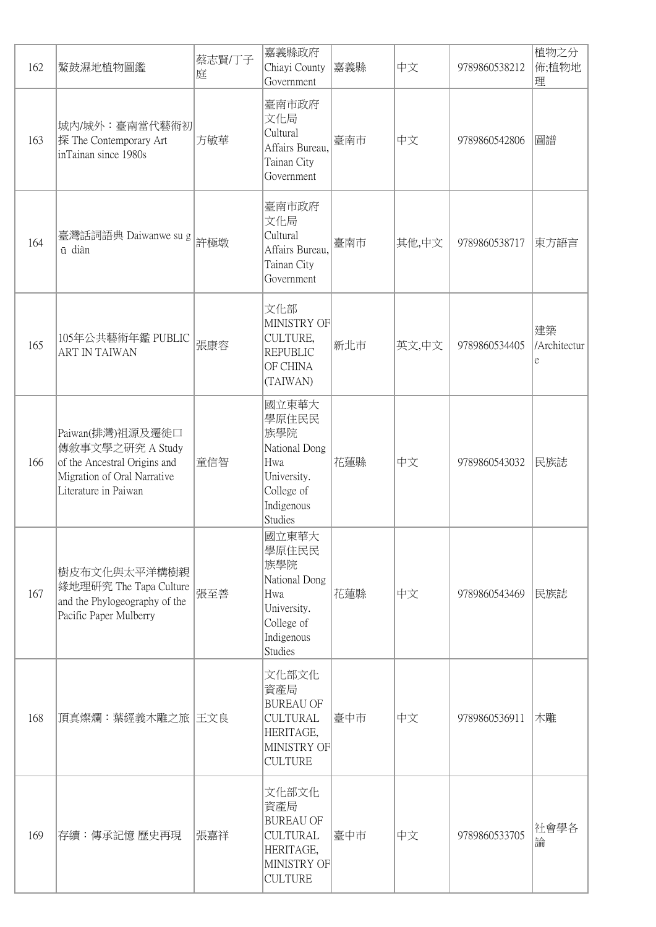| 162 | 鰲鼓濕地植物圖鑑                                                                                                                    | 蔡志賢/丁子<br>庭 | 嘉義縣政府<br>Chiayi County<br>Government                                                                       | 嘉義縣 | 中文    | 9789860538212 | 植物之分<br>佈;植物地<br>理      |
|-----|-----------------------------------------------------------------------------------------------------------------------------|-------------|------------------------------------------------------------------------------------------------------------|-----|-------|---------------|-------------------------|
| 163 | 城內/城外:臺南當代藝術初 <br> 探 The Contemporary Art<br>inTainan since 1980s                                                           | 方敏華         | 臺南市政府<br>文化局<br>Cultural<br>Affairs Bureau,<br>Tainan City<br>Government                                   | 臺南市 | 中文    | 9789860542806 | 圖譜                      |
| 164 | 臺灣話詞語典 Daiwanwe su g<br>ū diàn                                                                                              | 許極墩         | 臺南市政府<br>文化局<br>Cultural<br>Affairs Bureau,<br>Tainan City<br>Government                                   | 臺南市 | 其他,中文 | 9789860538717 | 東方語言                    |
| 165 | 105年公共藝術年鑑 PUBLIC<br><b>ART IN TAIWAN</b>                                                                                   | 張康容         | 文化部<br>MINISTRY OF<br>CULTURE,<br><b>REPUBLIC</b><br>OF CHINA<br>(TAIWAN)                                  | 新北市 | 英文,中文 | 9789860534405 | 建築<br>/Architectur<br>e |
| 166 | Paiwan(排灣)祖源及遷徙口<br>傳敘事文學之研究 A Study<br>of the Ancestral Origins and<br>Migration of Oral Narrative<br>Literature in Paiwan | 童信智         | 國立東華大<br>學原住民民<br>族學院<br>National Dong<br>Hwa<br>University.<br>College of<br>Indigenous<br>Studies        | 花蓮縣 | 中文    | 9789860543032 | 民族誌                     |
| 167 | 樹皮布文化與太平洋構樹親<br> 緣地理研究 The Tapa Culture<br>and the Phylogeography of the<br>Pacific Paper Mulberry                          | 張至善         | 國立東華大<br>學原住民民<br>族學院<br>National Dong<br>Hwa<br>University.<br>College of<br>Indigenous<br><b>Studies</b> | 花蓮縣 | 中文    | 9789860543469 | 民族誌                     |
| 168 | 頂真燦爛:葉經義木雕之旅  王文良                                                                                                           |             | 文化部文化<br>資產局<br><b>BUREAU OF</b><br><b>CULTURAL</b><br>HERITAGE,<br>MINISTRY OF<br><b>CULTURE</b>          | 臺中市 | 中文    | 9789860536911 | 木雕                      |
| 169 | 存續:傳承記憶 歷史再現                                                                                                                | 張嘉祥         | 文化部文化<br>資產局<br><b>BUREAU OF</b><br><b>CULTURAL</b><br>HERITAGE,<br>MINISTRY OF<br><b>CULTURE</b>          | 臺中市 | 中文    | 9789860533705 | 社會學各<br>論               |